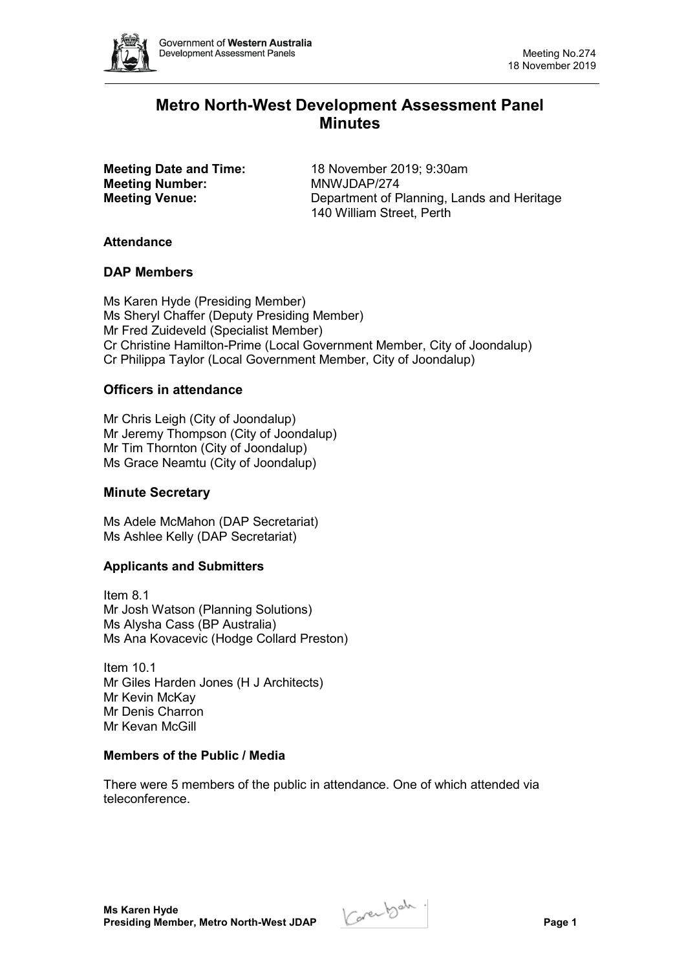

# **Metro North-West Development Assessment Panel Minutes**

**Meeting Number:** 

**Meeting Date and Time:** 18 November 2019; 9:30am<br> **Meeting Number:** MNWJDAP/274 **Meeting Venue:** Department of Planning, Lands and Heritage 140 William Street, Perth

# **Attendance**

# **DAP Members**

Ms Karen Hyde (Presiding Member) Ms Sheryl Chaffer (Deputy Presiding Member) Mr Fred Zuideveld (Specialist Member) Cr Christine Hamilton-Prime (Local Government Member, City of Joondalup) Cr Philippa Taylor (Local Government Member, City of Joondalup)

# **Officers in attendance**

Mr Chris Leigh (City of Joondalup) Mr Jeremy Thompson (City of Joondalup) Mr Tim Thornton (City of Joondalup) Ms Grace Neamtu (City of Joondalup)

# **Minute Secretary**

Ms Adele McMahon (DAP Secretariat) Ms Ashlee Kelly (DAP Secretariat)

# **Applicants and Submitters**

Item 8.1 Mr Josh Watson (Planning Solutions) Ms Alysha Cass (BP Australia) Ms Ana Kovacevic (Hodge Collard Preston)

Item 10.1 Mr Giles Harden Jones (H J Architects) Mr Kevin McKay Mr Denis Charron Mr Kevan McGill

# **Members of the Public / Media**

There were 5 members of the public in attendance. One of which attended via teleconference.

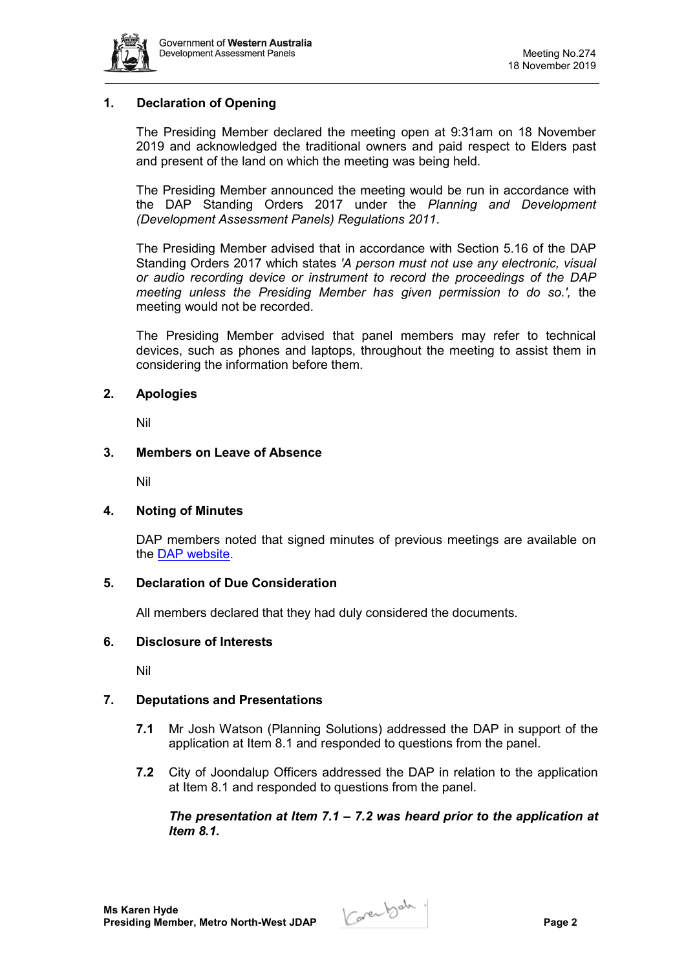

# **1. Declaration of Opening**

The Presiding Member declared the meeting open at 9:31am on 18 November 2019 and acknowledged the traditional owners and paid respect to Elders past and present of the land on which the meeting was being held.

The Presiding Member announced the meeting would be run in accordance with the DAP Standing Orders 2017 under the *Planning and Development (Development Assessment Panels) Regulations 2011*.

The Presiding Member advised that in accordance with Section 5.16 of the DAP Standing Orders 2017 which states *'A person must not use any electronic, visual or audio recording device or instrument to record the proceedings of the DAP meeting unless the Presiding Member has given permission to do so.',* the meeting would not be recorded.

The Presiding Member advised that panel members may refer to technical devices, such as phones and laptops, throughout the meeting to assist them in considering the information before them.

#### **2. Apologies**

Nil

#### **3. Members on Leave of Absence**

Nil

# **4. Noting of Minutes**

DAP members noted that signed minutes of previous meetings are available on the [DAP website.](https://www.dplh.wa.gov.au/about/development-assessment-panels/daps-agendas-and-minutes)

#### **5. Declaration of Due Consideration**

All members declared that they had duly considered the documents.

#### **6. Disclosure of Interests**

Nil

# **7. Deputations and Presentations**

- **7.1** Mr Josh Watson (Planning Solutions) addressed the DAP in support of the application at Item 8.1 and responded to questions from the panel.
- **7.2** City of Joondalup Officers addressed the DAP in relation to the application at Item 8.1 and responded to questions from the panel.

*The presentation at Item 7.1 – 7.2 was heard prior to the application at Item 8.1.*

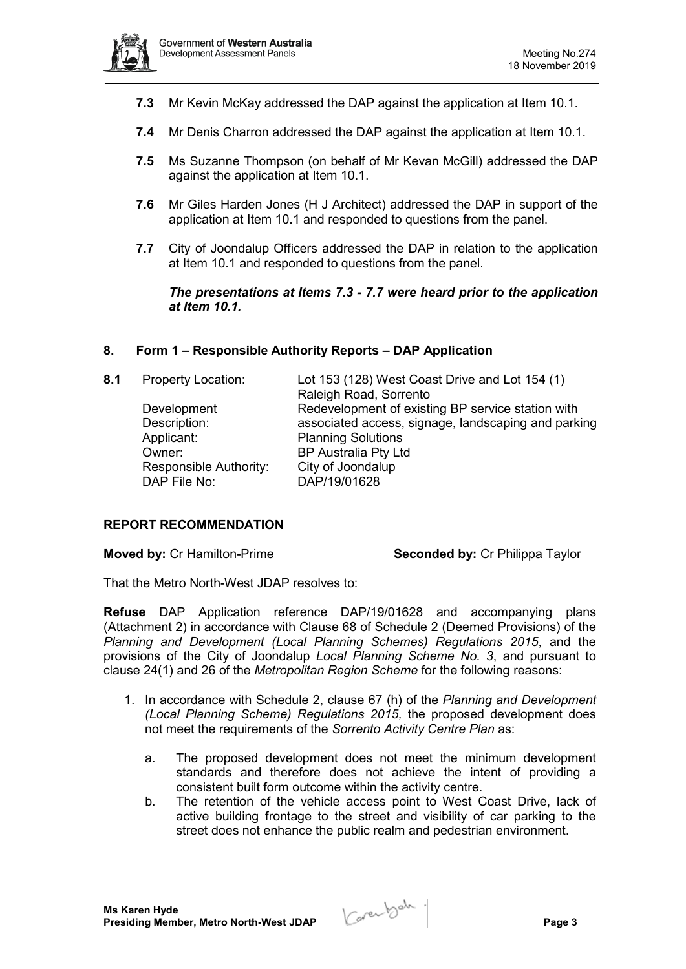

- **7.3** Mr Kevin McKay addressed the DAP against the application at Item 10.1.
- **7.4** Mr Denis Charron addressed the DAP against the application at Item 10.1.
- **7.5** Ms Suzanne Thompson (on behalf of Mr Kevan McGill) addressed the DAP against the application at Item 10.1.
- **7.6** Mr Giles Harden Jones (H J Architect) addressed the DAP in support of the application at Item 10.1 and responded to questions from the panel.
- **7.7** City of Joondalup Officers addressed the DAP in relation to the application at Item 10.1 and responded to questions from the panel.

#### *The presentations at Items 7.3 - 7.7 were heard prior to the application at Item 10.1.*

#### **8. Form 1 – Responsible Authority Reports – DAP Application**

| 8.1 | <b>Property Location:</b>              | Lot 153 (128) West Coast Drive and Lot 154 (1)<br>Raleigh Road, Sorrento |
|-----|----------------------------------------|--------------------------------------------------------------------------|
|     | Development                            | Redevelopment of existing BP service station with                        |
|     | Description:                           | associated access, signage, landscaping and parking                      |
|     | Applicant:                             | <b>Planning Solutions</b>                                                |
|     | Owner:                                 | <b>BP Australia Pty Ltd</b>                                              |
|     | Responsible Authority:<br>DAP File No: | City of Joondalup<br>DAP/19/01628                                        |
|     |                                        |                                                                          |

#### **REPORT RECOMMENDATION**

**Moved by:** Cr Hamilton-Prime **Seconded by:** Cr Philippa Taylor

That the Metro North-West JDAP resolves to:

**Refuse** DAP Application reference DAP/19/01628 and accompanying plans (Attachment 2) in accordance with Clause 68 of Schedule 2 (Deemed Provisions) of the *Planning and Development (Local Planning Schemes) Regulations 2015*, and the provisions of the City of Joondalup *Local Planning Scheme No. 3*, and pursuant to clause 24(1) and 26 of the *Metropolitan Region Scheme* for the following reasons:

- 1. In accordance with Schedule 2, clause 67 (h) of the *Planning and Development (Local Planning Scheme) Regulations 2015,* the proposed development does not meet the requirements of the *Sorrento Activity Centre Plan* as:
	- a. The proposed development does not meet the minimum development standards and therefore does not achieve the intent of providing a consistent built form outcome within the activity centre.
	- b. The retention of the vehicle access point to West Coast Drive, lack of active building frontage to the street and visibility of car parking to the street does not enhance the public realm and pedestrian environment.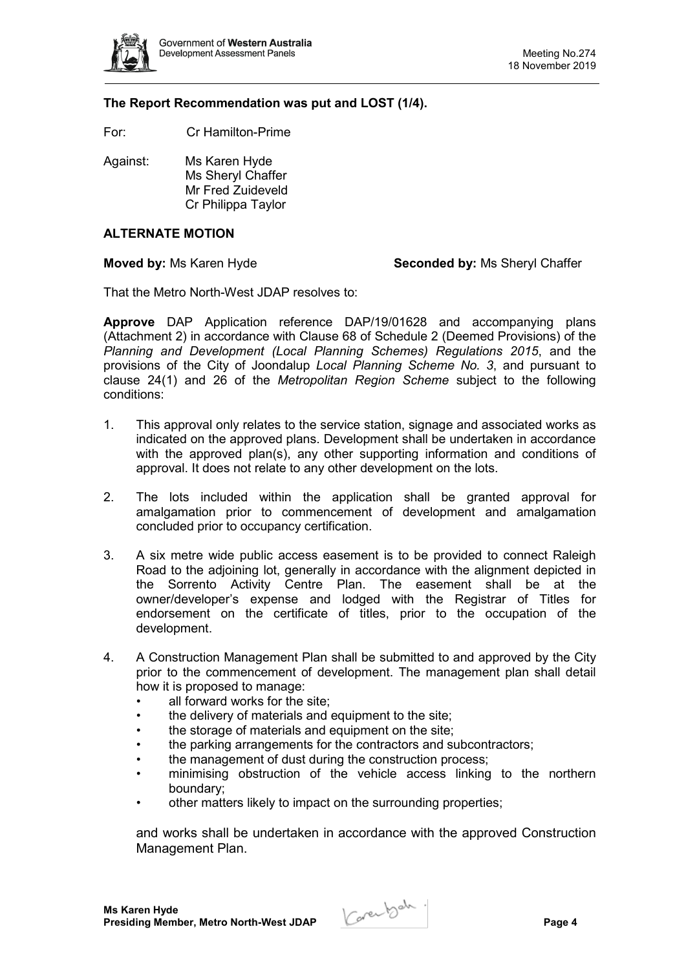

#### **The Report Recommendation was put and LOST (1/4).**

For: Cr Hamilton-Prime

Against: Ms Karen Hyde Ms Sheryl Chaffer Mr Fred Zuideveld Cr Philippa Taylor

# **ALTERNATE MOTION**

**Moved by:** Ms Karen Hyde **Seconded by:** Ms Sheryl Chaffer

That the Metro North-West JDAP resolves to:

**Approve** DAP Application reference DAP/19/01628 and accompanying plans (Attachment 2) in accordance with Clause 68 of Schedule 2 (Deemed Provisions) of the *Planning and Development (Local Planning Schemes) Regulations 2015*, and the provisions of the City of Joondalup *Local Planning Scheme No. 3*, and pursuant to clause 24(1) and 26 of the *Metropolitan Region Scheme* subject to the following conditions:

- 1. This approval only relates to the service station, signage and associated works as indicated on the approved plans. Development shall be undertaken in accordance with the approved plan(s), any other supporting information and conditions of approval. It does not relate to any other development on the lots.
- 2. The lots included within the application shall be granted approval for amalgamation prior to commencement of development and amalgamation concluded prior to occupancy certification.
- 3. A six metre wide public access easement is to be provided to connect Raleigh Road to the adjoining lot, generally in accordance with the alignment depicted in the Sorrento Activity Centre Plan. The easement shall be at the owner/developer's expense and lodged with the Registrar of Titles for endorsement on the certificate of titles, prior to the occupation of the development.
- 4. A Construction Management Plan shall be submitted to and approved by the City prior to the commencement of development. The management plan shall detail how it is proposed to manage:
	- all forward works for the site:
	- the delivery of materials and equipment to the site:
	- the storage of materials and equipment on the site:
	- the parking arrangements for the contractors and subcontractors:
	- the management of dust during the construction process;
	- minimising obstruction of the vehicle access linking to the northern boundary;
	- other matters likely to impact on the surrounding properties;

and works shall be undertaken in accordance with the approved Construction Management Plan.

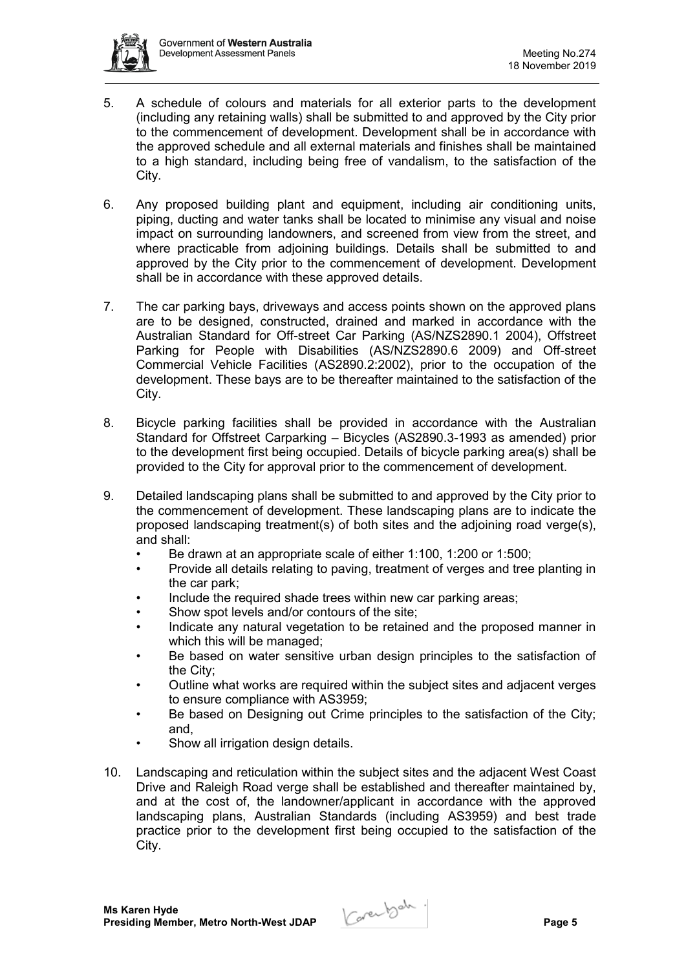

- 5. A schedule of colours and materials for all exterior parts to the development (including any retaining walls) shall be submitted to and approved by the City prior to the commencement of development. Development shall be in accordance with the approved schedule and all external materials and finishes shall be maintained to a high standard, including being free of vandalism, to the satisfaction of the City.
- 6. Any proposed building plant and equipment, including air conditioning units, piping, ducting and water tanks shall be located to minimise any visual and noise impact on surrounding landowners, and screened from view from the street, and where practicable from adjoining buildings. Details shall be submitted to and approved by the City prior to the commencement of development. Development shall be in accordance with these approved details.
- 7. The car parking bays, driveways and access points shown on the approved plans are to be designed, constructed, drained and marked in accordance with the Australian Standard for Off-street Car Parking (AS/NZS2890.1 2004), Offstreet Parking for People with Disabilities (AS/NZS2890.6 2009) and Off-street Commercial Vehicle Facilities (AS2890.2:2002), prior to the occupation of the development. These bays are to be thereafter maintained to the satisfaction of the City.
- 8. Bicycle parking facilities shall be provided in accordance with the Australian Standard for Offstreet Carparking – Bicycles (AS2890.3-1993 as amended) prior to the development first being occupied. Details of bicycle parking area(s) shall be provided to the City for approval prior to the commencement of development.
- 9. Detailed landscaping plans shall be submitted to and approved by the City prior to the commencement of development. These landscaping plans are to indicate the proposed landscaping treatment(s) of both sites and the adjoining road verge(s), and shall:
	- Be drawn at an appropriate scale of either 1:100, 1:200 or 1:500;
	- Provide all details relating to paving, treatment of verges and tree planting in the car park;
	- Include the required shade trees within new car parking areas;
	- Show spot levels and/or contours of the site;
	- Indicate any natural vegetation to be retained and the proposed manner in which this will be managed;
	- Be based on water sensitive urban design principles to the satisfaction of the City;
	- Outline what works are required within the subject sites and adjacent verges to ensure compliance with AS3959;
	- Be based on Designing out Crime principles to the satisfaction of the City; and,
	- Show all irrigation design details.
- 10. Landscaping and reticulation within the subject sites and the adjacent West Coast Drive and Raleigh Road verge shall be established and thereafter maintained by, and at the cost of, the landowner/applicant in accordance with the approved landscaping plans, Australian Standards (including AS3959) and best trade practice prior to the development first being occupied to the satisfaction of the City.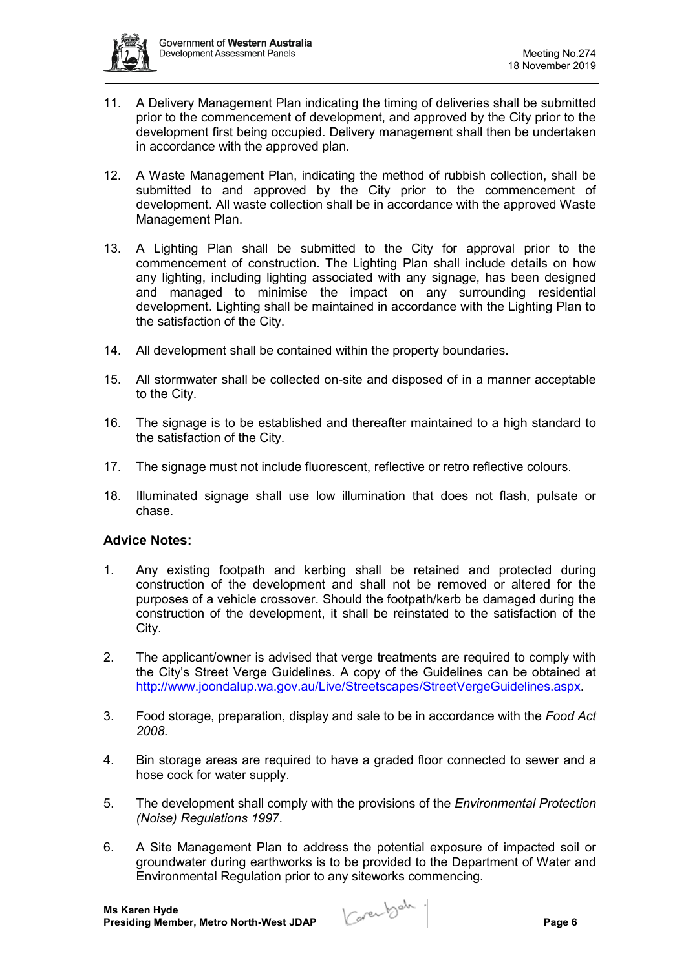

- 11. A Delivery Management Plan indicating the timing of deliveries shall be submitted prior to the commencement of development, and approved by the City prior to the development first being occupied. Delivery management shall then be undertaken in accordance with the approved plan.
- 12. A Waste Management Plan, indicating the method of rubbish collection, shall be submitted to and approved by the City prior to the commencement of development. All waste collection shall be in accordance with the approved Waste Management Plan.
- 13. A Lighting Plan shall be submitted to the City for approval prior to the commencement of construction. The Lighting Plan shall include details on how any lighting, including lighting associated with any signage, has been designed and managed to minimise the impact on any surrounding residential development. Lighting shall be maintained in accordance with the Lighting Plan to the satisfaction of the City.
- 14. All development shall be contained within the property boundaries.
- 15. All stormwater shall be collected on-site and disposed of in a manner acceptable to the City.
- 16. The signage is to be established and thereafter maintained to a high standard to the satisfaction of the City.
- 17. The signage must not include fluorescent, reflective or retro reflective colours.
- 18. Illuminated signage shall use low illumination that does not flash, pulsate or chase.

# **Advice Notes:**

- 1. Any existing footpath and kerbing shall be retained and protected during construction of the development and shall not be removed or altered for the purposes of a vehicle crossover. Should the footpath/kerb be damaged during the construction of the development, it shall be reinstated to the satisfaction of the City.
- 2. The applicant/owner is advised that verge treatments are required to comply with the City's Street Verge Guidelines. A copy of the Guidelines can be obtained at http://www.joondalup.wa.gov.au/Live/Streetscapes/StreetVergeGuidelines.aspx.
- 3. Food storage, preparation, display and sale to be in accordance with the *Food Act 2008*.
- 4. Bin storage areas are required to have a graded floor connected to sewer and a hose cock for water supply.
- 5. The development shall comply with the provisions of the *Environmental Protection (Noise) Regulations 1997*.
- 6. A Site Management Plan to address the potential exposure of impacted soil or groundwater during earthworks is to be provided to the Department of Water and Environmental Regulation prior to any siteworks commencing.

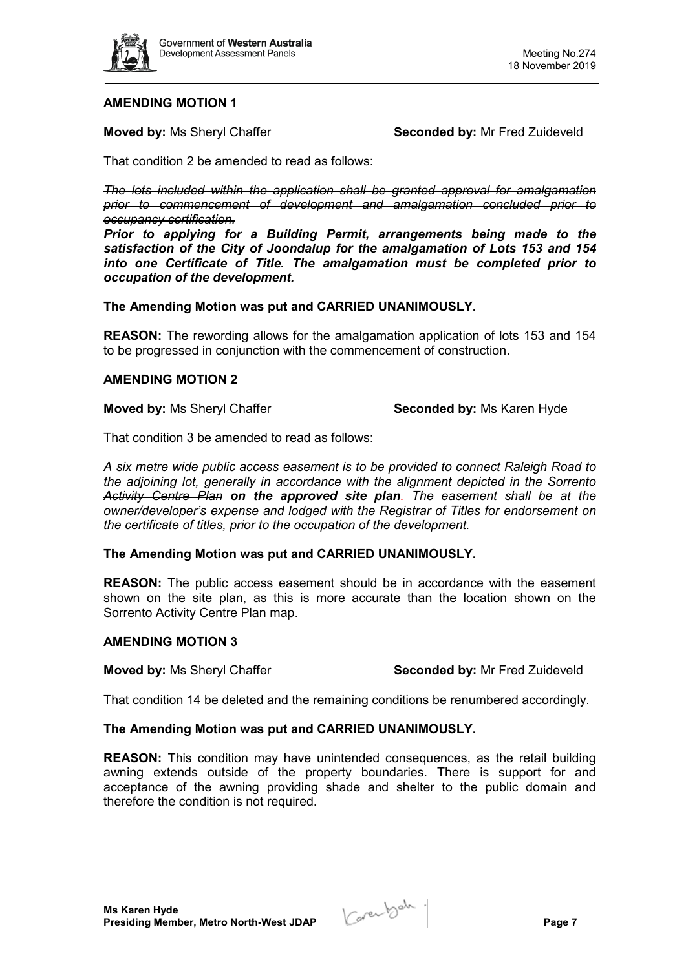

# **AMENDING MOTION 1**

**Moved by:** Ms Sheryl Chaffer **Seconded by:** Mr Fred Zuideveld

That condition 2 be amended to read as follows:

*The lots included within the application shall be granted approval for amalgamation prior to commencement of development and amalgamation concluded prior to occupancy certification.*

*Prior to applying for a Building Permit, arrangements being made to the satisfaction of the City of Joondalup for the amalgamation of Lots 153 and 154 into one Certificate of Title. The amalgamation must be completed prior to occupation of the development.*

#### **The Amending Motion was put and CARRIED UNANIMOUSLY.**

**REASON:** The rewording allows for the amalgamation application of lots 153 and 154 to be progressed in conjunction with the commencement of construction.

#### **AMENDING MOTION 2**

**Moved by:** Ms Sheryl Chaffer **Seconded by:** Ms Karen Hyde

That condition 3 be amended to read as follows:

*A six metre wide public access easement is to be provided to connect Raleigh Road to the adjoining lot, generally in accordance with the alignment depicted in the Sorrento Activity Centre Plan on the approved site plan. The easement shall be at the owner/developer's expense and lodged with the Registrar of Titles for endorsement on the certificate of titles, prior to the occupation of the development.* 

#### **The Amending Motion was put and CARRIED UNANIMOUSLY.**

**REASON:** The public access easement should be in accordance with the easement shown on the site plan, as this is more accurate than the location shown on the Sorrento Activity Centre Plan map.

#### **AMENDING MOTION 3**

**Moved by:** Ms Sheryl Chaffer **Seconded by:** Mr Fred Zuideveld

That condition 14 be deleted and the remaining conditions be renumbered accordingly.

#### **The Amending Motion was put and CARRIED UNANIMOUSLY.**

**REASON:** This condition may have unintended consequences, as the retail building awning extends outside of the property boundaries. There is support for and acceptance of the awning providing shade and shelter to the public domain and therefore the condition is not required.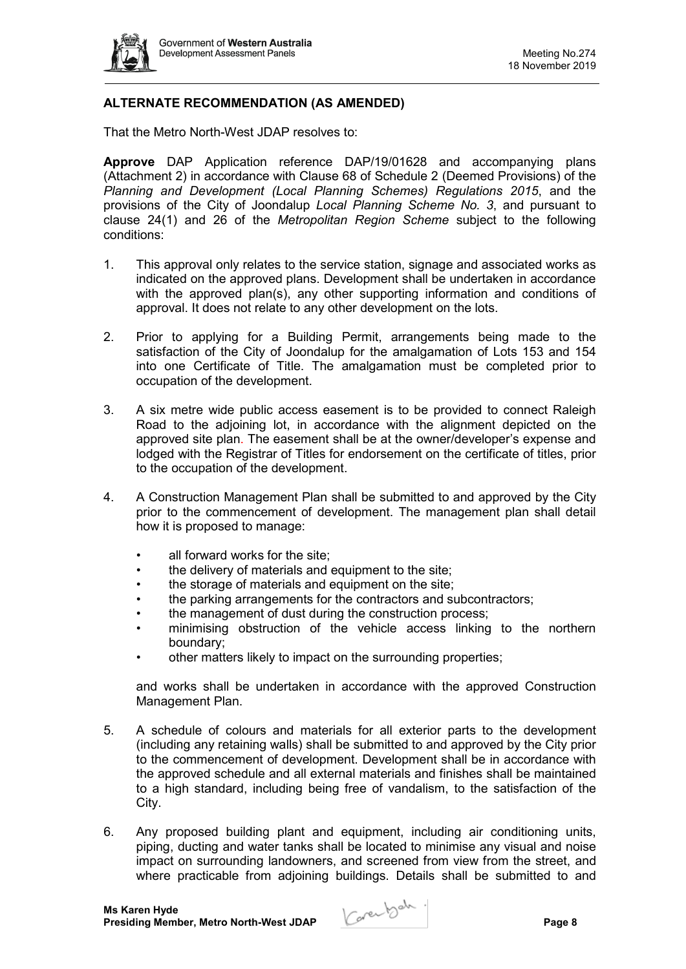

# **ALTERNATE RECOMMENDATION (AS AMENDED)**

That the Metro North-West JDAP resolves to:

**Approve** DAP Application reference DAP/19/01628 and accompanying plans (Attachment 2) in accordance with Clause 68 of Schedule 2 (Deemed Provisions) of the *Planning and Development (Local Planning Schemes) Regulations 2015*, and the provisions of the City of Joondalup *Local Planning Scheme No. 3*, and pursuant to clause 24(1) and 26 of the *Metropolitan Region Scheme* subject to the following conditions:

- 1. This approval only relates to the service station, signage and associated works as indicated on the approved plans. Development shall be undertaken in accordance with the approved plan(s), any other supporting information and conditions of approval. It does not relate to any other development on the lots.
- 2. Prior to applying for a Building Permit, arrangements being made to the satisfaction of the City of Joondalup for the amalgamation of Lots 153 and 154 into one Certificate of Title. The amalgamation must be completed prior to occupation of the development.
- 3. A six metre wide public access easement is to be provided to connect Raleigh Road to the adjoining lot, in accordance with the alignment depicted on the approved site plan. The easement shall be at the owner/developer's expense and lodged with the Registrar of Titles for endorsement on the certificate of titles, prior to the occupation of the development.
- 4. A Construction Management Plan shall be submitted to and approved by the City prior to the commencement of development. The management plan shall detail how it is proposed to manage:
	- all forward works for the site:
	- the delivery of materials and equipment to the site;
	- the storage of materials and equipment on the site;
	- the parking arrangements for the contractors and subcontractors;
	- the management of dust during the construction process;
	- minimising obstruction of the vehicle access linking to the northern boundary;
	- other matters likely to impact on the surrounding properties;

and works shall be undertaken in accordance with the approved Construction Management Plan.

- 5. A schedule of colours and materials for all exterior parts to the development (including any retaining walls) shall be submitted to and approved by the City prior to the commencement of development. Development shall be in accordance with the approved schedule and all external materials and finishes shall be maintained to a high standard, including being free of vandalism, to the satisfaction of the City.
- 6. Any proposed building plant and equipment, including air conditioning units, piping, ducting and water tanks shall be located to minimise any visual and noise impact on surrounding landowners, and screened from view from the street, and where practicable from adjoining buildings. Details shall be submitted to and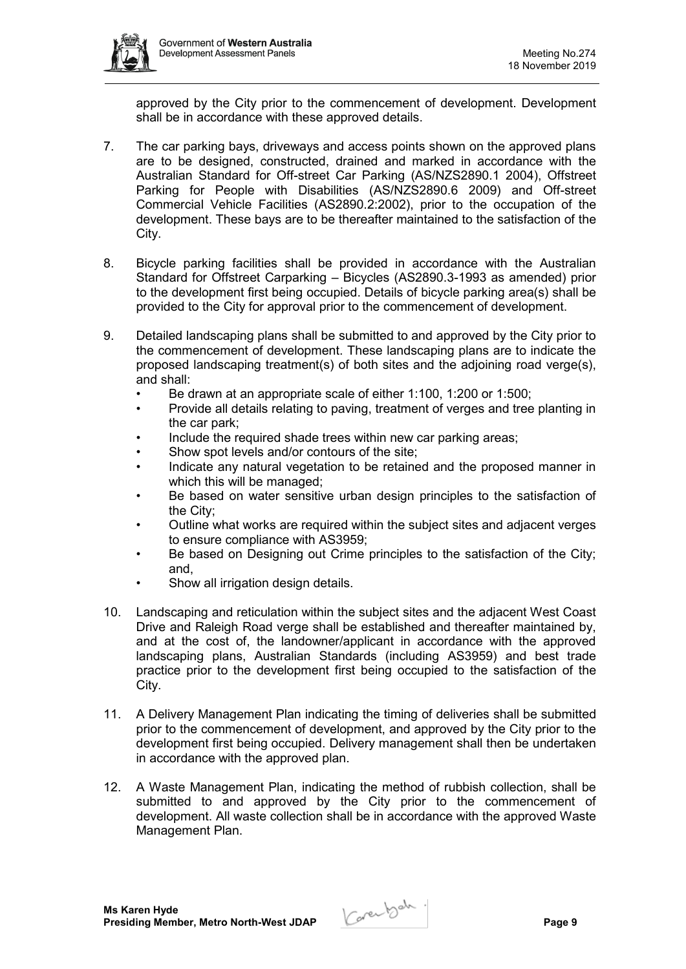

approved by the City prior to the commencement of development. Development shall be in accordance with these approved details.

- 7. The car parking bays, driveways and access points shown on the approved plans are to be designed, constructed, drained and marked in accordance with the Australian Standard for Off-street Car Parking (AS/NZS2890.1 2004), Offstreet Parking for People with Disabilities (AS/NZS2890.6 2009) and Off-street Commercial Vehicle Facilities (AS2890.2:2002), prior to the occupation of the development. These bays are to be thereafter maintained to the satisfaction of the City.
- 8. Bicycle parking facilities shall be provided in accordance with the Australian Standard for Offstreet Carparking – Bicycles (AS2890.3-1993 as amended) prior to the development first being occupied. Details of bicycle parking area(s) shall be provided to the City for approval prior to the commencement of development.
- 9. Detailed landscaping plans shall be submitted to and approved by the City prior to the commencement of development. These landscaping plans are to indicate the proposed landscaping treatment(s) of both sites and the adjoining road verge(s), and shall:
	- Be drawn at an appropriate scale of either 1:100, 1:200 or 1:500;
	- Provide all details relating to paving, treatment of verges and tree planting in the car park;
	- Include the required shade trees within new car parking areas;
	- Show spot levels and/or contours of the site;
	- Indicate any natural vegetation to be retained and the proposed manner in which this will be managed;
	- Be based on water sensitive urban design principles to the satisfaction of the City;
	- Outline what works are required within the subject sites and adjacent verges to ensure compliance with AS3959;
	- Be based on Designing out Crime principles to the satisfaction of the City; and,
	- Show all irrigation design details.
- 10. Landscaping and reticulation within the subject sites and the adjacent West Coast Drive and Raleigh Road verge shall be established and thereafter maintained by, and at the cost of, the landowner/applicant in accordance with the approved landscaping plans, Australian Standards (including AS3959) and best trade practice prior to the development first being occupied to the satisfaction of the City.
- 11. A Delivery Management Plan indicating the timing of deliveries shall be submitted prior to the commencement of development, and approved by the City prior to the development first being occupied. Delivery management shall then be undertaken in accordance with the approved plan.
- 12. A Waste Management Plan, indicating the method of rubbish collection, shall be submitted to and approved by the City prior to the commencement of development. All waste collection shall be in accordance with the approved Waste Management Plan.

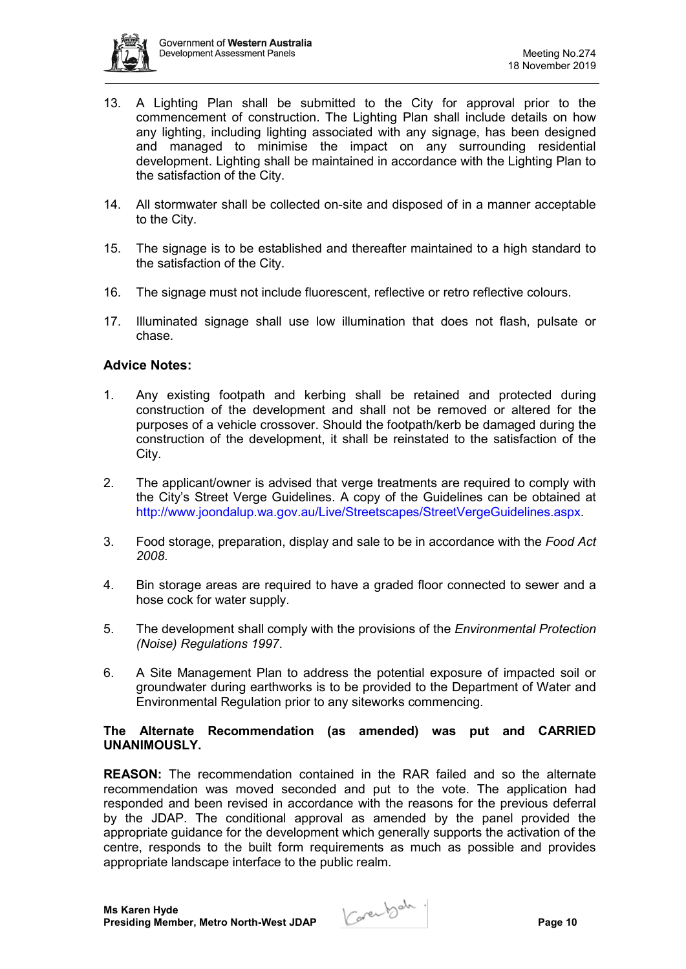

- 13. A Lighting Plan shall be submitted to the City for approval prior to the commencement of construction. The Lighting Plan shall include details on how any lighting, including lighting associated with any signage, has been designed and managed to minimise the impact on any surrounding residential development. Lighting shall be maintained in accordance with the Lighting Plan to the satisfaction of the City.
- 14. All stormwater shall be collected on-site and disposed of in a manner acceptable to the City.
- 15. The signage is to be established and thereafter maintained to a high standard to the satisfaction of the City.
- 16. The signage must not include fluorescent, reflective or retro reflective colours.
- 17. Illuminated signage shall use low illumination that does not flash, pulsate or chase.

# **Advice Notes:**

- 1. Any existing footpath and kerbing shall be retained and protected during construction of the development and shall not be removed or altered for the purposes of a vehicle crossover. Should the footpath/kerb be damaged during the construction of the development, it shall be reinstated to the satisfaction of the City.
- 2. The applicant/owner is advised that verge treatments are required to comply with the City's Street Verge Guidelines. A copy of the Guidelines can be obtained at http://www.joondalup.wa.gov.au/Live/Streetscapes/StreetVergeGuidelines.aspx.
- 3. Food storage, preparation, display and sale to be in accordance with the *Food Act 2008*.
- 4. Bin storage areas are required to have a graded floor connected to sewer and a hose cock for water supply.
- 5. The development shall comply with the provisions of the *Environmental Protection (Noise) Regulations 1997*.
- 6. A Site Management Plan to address the potential exposure of impacted soil or groundwater during earthworks is to be provided to the Department of Water and Environmental Regulation prior to any siteworks commencing.

#### **The Alternate Recommendation (as amended) was put and CARRIED UNANIMOUSLY.**

**REASON:** The recommendation contained in the RAR failed and so the alternate recommendation was moved seconded and put to the vote. The application had responded and been revised in accordance with the reasons for the previous deferral by the JDAP. The conditional approval as amended by the panel provided the appropriate guidance for the development which generally supports the activation of the centre, responds to the built form requirements as much as possible and provides appropriate landscape interface to the public realm.

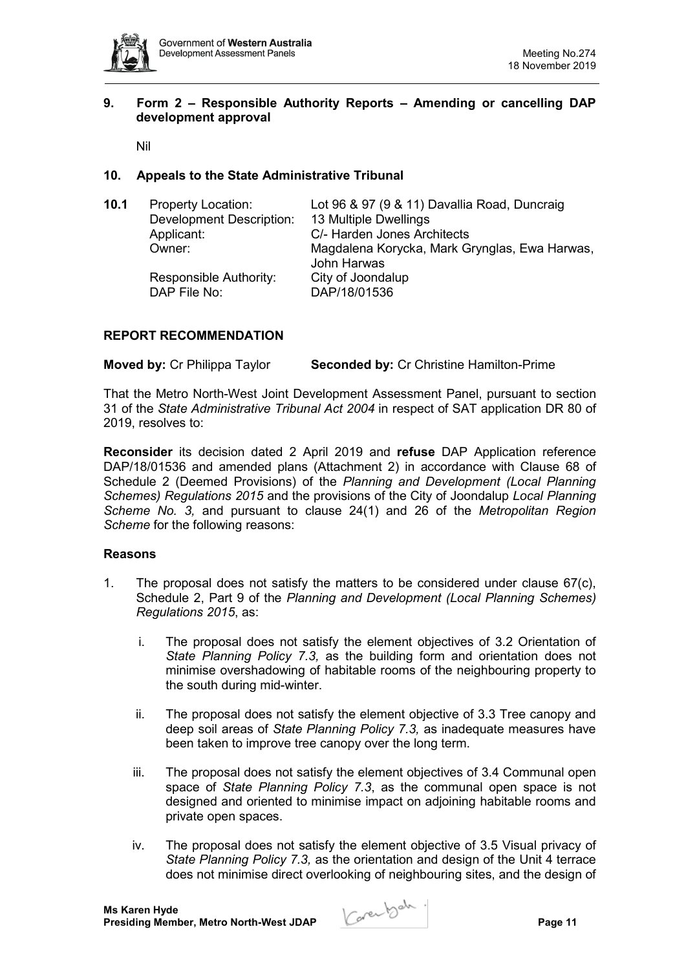

# **9. Form 2 – Responsible Authority Reports – Amending or cancelling DAP development approval**

Nil

# **10. Appeals to the State Administrative Tribunal**

| 10.1 | <b>Property Location:</b><br><b>Development Description:</b><br>Applicant:<br>Owner:<br>Responsible Authority: | Lot 96 & 97 (9 & 11) Davallia Road, Duncraig<br>13 Multiple Dwellings<br>C/- Harden Jones Architects<br>Magdalena Korycka, Mark Grynglas, Ewa Harwas,<br>John Harwas<br>City of Joondalup |
|------|----------------------------------------------------------------------------------------------------------------|-------------------------------------------------------------------------------------------------------------------------------------------------------------------------------------------|
|      | DAP File No:                                                                                                   | DAP/18/01536                                                                                                                                                                              |

# **REPORT RECOMMENDATION**

**Moved by:** Cr Philippa Taylor **Seconded by:** Cr Christine Hamilton-Prime

That the Metro North-West Joint Development Assessment Panel, pursuant to section 31 of the *State Administrative Tribunal Act 2004* in respect of SAT application DR 80 of 2019, resolves to:

**Reconsider** its decision dated 2 April 2019 and **refuse** DAP Application reference DAP/18/01536 and amended plans (Attachment 2) in accordance with Clause 68 of Schedule 2 (Deemed Provisions) of the *Planning and Development (Local Planning Schemes) Regulations 2015* and the provisions of the City of Joondalup *Local Planning Scheme No. 3,* and pursuant to clause 24(1) and 26 of the *Metropolitan Region Scheme* for the following reasons:

# **Reasons**

- 1. The proposal does not satisfy the matters to be considered under clause  $67(c)$ , Schedule 2, Part 9 of the *Planning and Development (Local Planning Schemes) Regulations 2015*, as:
	- i. The proposal does not satisfy the element objectives of 3.2 Orientation of *State Planning Policy 7.3,* as the building form and orientation does not minimise overshadowing of habitable rooms of the neighbouring property to the south during mid-winter.
	- ii. The proposal does not satisfy the element objective of 3.3 Tree canopy and deep soil areas of *State Planning Policy 7.3,* as inadequate measures have been taken to improve tree canopy over the long term.
	- iii. The proposal does not satisfy the element objectives of 3.4 Communal open space of *State Planning Policy 7.3*, as the communal open space is not designed and oriented to minimise impact on adjoining habitable rooms and private open spaces.
	- iv. The proposal does not satisfy the element objective of 3.5 Visual privacy of *State Planning Policy 7.3,* as the orientation and design of the Unit 4 terrace does not minimise direct overlooking of neighbouring sites, and the design of

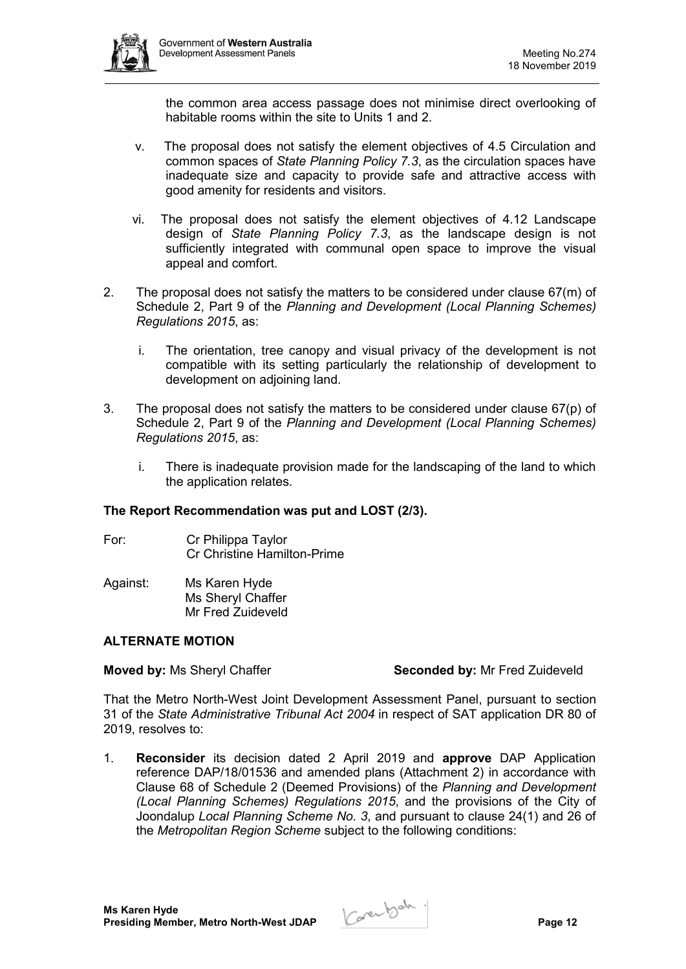

the common area access passage does not minimise direct overlooking of habitable rooms within the site to Units 1 and 2.

- v. The proposal does not satisfy the element objectives of 4.5 Circulation and common spaces of *State Planning Policy 7.3*, as the circulation spaces have inadequate size and capacity to provide safe and attractive access with good amenity for residents and visitors.
- vi. The proposal does not satisfy the element objectives of 4.12 Landscape design of *State Planning Policy 7.3*, as the landscape design is not sufficiently integrated with communal open space to improve the visual appeal and comfort.
- 2. The proposal does not satisfy the matters to be considered under clause 67(m) of Schedule 2, Part 9 of the *Planning and Development (Local Planning Schemes) Regulations 2015*, as:
	- i. The orientation, tree canopy and visual privacy of the development is not compatible with its setting particularly the relationship of development to development on adjoining land.
- 3. The proposal does not satisfy the matters to be considered under clause 67(p) of Schedule 2, Part 9 of the *Planning and Development (Local Planning Schemes) Regulations 2015*, as:
	- i. There is inadequate provision made for the landscaping of the land to which the application relates.

# **The Report Recommendation was put and LOST (2/3).**

- For: Cr Philippa Taylor Cr Christine Hamilton-Prime
- Against: Ms Karen Hyde Ms Sheryl Chaffer Mr Fred Zuideveld

# **ALTERNATE MOTION**

# **Moved by: Ms Sheryl Chaffer <b>Seconded by:** Mr Fred Zuideveld

That the Metro North-West Joint Development Assessment Panel, pursuant to section 31 of the *State Administrative Tribunal Act 2004* in respect of SAT application DR 80 of 2019, resolves to:

1. **Reconsider** its decision dated 2 April 2019 and **approve** DAP Application reference DAP/18/01536 and amended plans (Attachment 2) in accordance with Clause 68 of Schedule 2 (Deemed Provisions) of the *Planning and Development (Local Planning Schemes) Regulations 2015*, and the provisions of the City of Joondalup *Local Planning Scheme No. 3*, and pursuant to clause 24(1) and 26 of the *Metropolitan Region Scheme* subject to the following conditions:

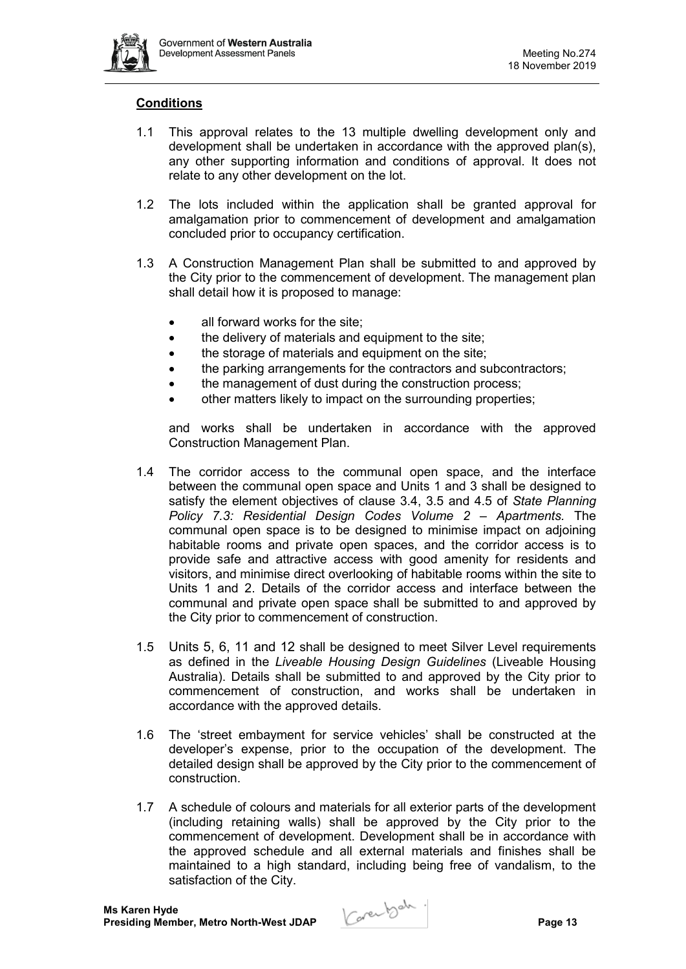

#### **Conditions**

- 1.1 This approval relates to the 13 multiple dwelling development only and development shall be undertaken in accordance with the approved plan(s), any other supporting information and conditions of approval. It does not relate to any other development on the lot.
- 1.2 The lots included within the application shall be granted approval for amalgamation prior to commencement of development and amalgamation concluded prior to occupancy certification.
- 1.3 A Construction Management Plan shall be submitted to and approved by the City prior to the commencement of development. The management plan shall detail how it is proposed to manage:
	- all forward works for the site:
	- the delivery of materials and equipment to the site:
	- the storage of materials and equipment on the site;
	- the parking arrangements for the contractors and subcontractors;
	- the management of dust during the construction process;
	- other matters likely to impact on the surrounding properties;

and works shall be undertaken in accordance with the approved Construction Management Plan.

- 1.4 The corridor access to the communal open space, and the interface between the communal open space and Units 1 and 3 shall be designed to satisfy the element objectives of clause 3.4, 3.5 and 4.5 of *State Planning Policy 7.3: Residential Design Codes Volume 2 – Apartments.* The communal open space is to be designed to minimise impact on adjoining habitable rooms and private open spaces, and the corridor access is to provide safe and attractive access with good amenity for residents and visitors, and minimise direct overlooking of habitable rooms within the site to Units 1 and 2. Details of the corridor access and interface between the communal and private open space shall be submitted to and approved by the City prior to commencement of construction.
- 1.5 Units 5, 6, 11 and 12 shall be designed to meet Silver Level requirements as defined in the *Liveable Housing Design Guidelines* (Liveable Housing Australia). Details shall be submitted to and approved by the City prior to commencement of construction, and works shall be undertaken in accordance with the approved details.
- 1.6 The 'street embayment for service vehicles' shall be constructed at the developer's expense, prior to the occupation of the development. The detailed design shall be approved by the City prior to the commencement of construction.
- 1.7 A schedule of colours and materials for all exterior parts of the development (including retaining walls) shall be approved by the City prior to the commencement of development. Development shall be in accordance with the approved schedule and all external materials and finishes shall be maintained to a high standard, including being free of vandalism, to the satisfaction of the City.

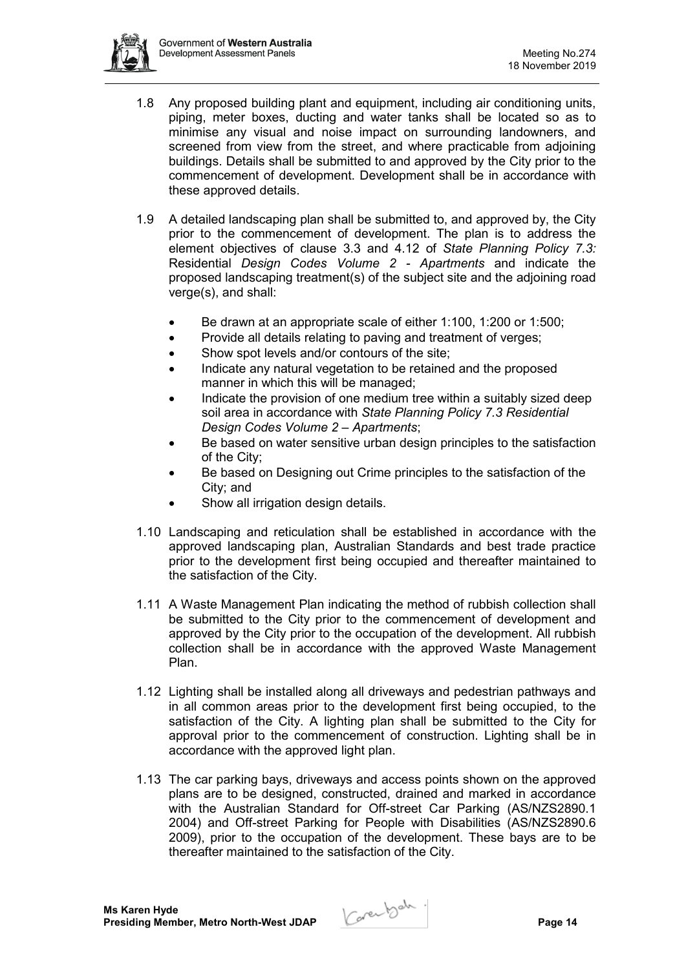

- 1.8 Any proposed building plant and equipment, including air conditioning units, piping, meter boxes, ducting and water tanks shall be located so as to minimise any visual and noise impact on surrounding landowners, and screened from view from the street, and where practicable from adjoining buildings. Details shall be submitted to and approved by the City prior to the commencement of development. Development shall be in accordance with these approved details.
- 1.9 A detailed landscaping plan shall be submitted to, and approved by, the City prior to the commencement of development. The plan is to address the element objectives of clause 3.3 and 4.12 of *State Planning Policy 7.3:*  Residential *Design Codes Volume 2 - Apartments* and indicate the proposed landscaping treatment(s) of the subject site and the adjoining road verge(s), and shall:
	- Be drawn at an appropriate scale of either 1:100, 1:200 or 1:500;
	- Provide all details relating to paving and treatment of verges:
	- Show spot levels and/or contours of the site;
	- Indicate any natural vegetation to be retained and the proposed manner in which this will be managed;
	- Indicate the provision of one medium tree within a suitably sized deep soil area in accordance with *State Planning Policy 7.3 Residential Design Codes Volume 2 – Apartments*;
	- Be based on water sensitive urban design principles to the satisfaction of the City;
	- Be based on Designing out Crime principles to the satisfaction of the City; and
	- Show all irrigation design details.
- 1.10 Landscaping and reticulation shall be established in accordance with the approved landscaping plan, Australian Standards and best trade practice prior to the development first being occupied and thereafter maintained to the satisfaction of the City.
- 1.11 A Waste Management Plan indicating the method of rubbish collection shall be submitted to the City prior to the commencement of development and approved by the City prior to the occupation of the development. All rubbish collection shall be in accordance with the approved Waste Management Plan.
- 1.12 Lighting shall be installed along all driveways and pedestrian pathways and in all common areas prior to the development first being occupied, to the satisfaction of the City. A lighting plan shall be submitted to the City for approval prior to the commencement of construction. Lighting shall be in accordance with the approved light plan.
- 1.13 The car parking bays, driveways and access points shown on the approved plans are to be designed, constructed, drained and marked in accordance with the Australian Standard for Off-street Car Parking (AS/NZS2890.1 2004) and Off-street Parking for People with Disabilities (AS/NZS2890.6 2009), prior to the occupation of the development. These bays are to be thereafter maintained to the satisfaction of the City.

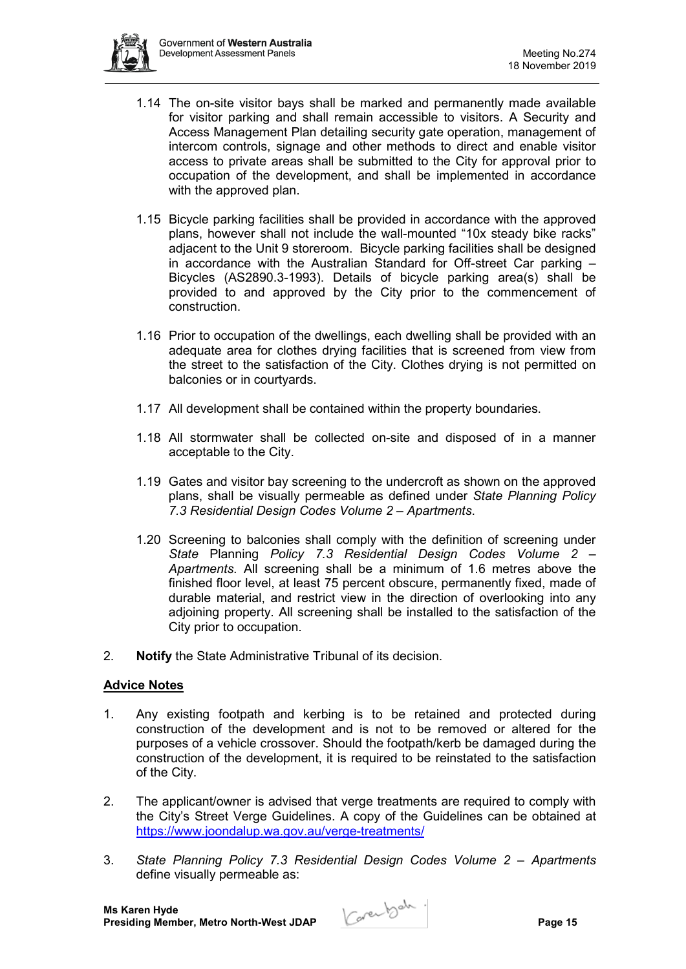

- 1.14 The on-site visitor bays shall be marked and permanently made available for visitor parking and shall remain accessible to visitors. A Security and Access Management Plan detailing security gate operation, management of intercom controls, signage and other methods to direct and enable visitor access to private areas shall be submitted to the City for approval prior to occupation of the development, and shall be implemented in accordance with the approved plan.
- 1.15 Bicycle parking facilities shall be provided in accordance with the approved plans, however shall not include the wall-mounted "10x steady bike racks" adjacent to the Unit 9 storeroom. Bicycle parking facilities shall be designed in accordance with the Australian Standard for Off-street Car parking – Bicycles (AS2890.3-1993). Details of bicycle parking area(s) shall be provided to and approved by the City prior to the commencement of construction.
- 1.16 Prior to occupation of the dwellings, each dwelling shall be provided with an adequate area for clothes drying facilities that is screened from view from the street to the satisfaction of the City. Clothes drying is not permitted on balconies or in courtyards.
- 1.17 All development shall be contained within the property boundaries.
- 1.18 All stormwater shall be collected on-site and disposed of in a manner acceptable to the City.
- 1.19 Gates and visitor bay screening to the undercroft as shown on the approved plans, shall be visually permeable as defined under *State Planning Policy 7.3 Residential Design Codes Volume 2 – Apartments*.
- 1.20 Screening to balconies shall comply with the definition of screening under *State* Planning *Policy 7.3 Residential Design Codes Volume 2 – Apartments*. All screening shall be a minimum of 1.6 metres above the finished floor level, at least 75 percent obscure, permanently fixed, made of durable material, and restrict view in the direction of overlooking into any adjoining property. All screening shall be installed to the satisfaction of the City prior to occupation.
- 2. **Notify** the State Administrative Tribunal of its decision.

# **Advice Notes**

- 1. Any existing footpath and kerbing is to be retained and protected during construction of the development and is not to be removed or altered for the purposes of a vehicle crossover. Should the footpath/kerb be damaged during the construction of the development, it is required to be reinstated to the satisfaction of the City.
- 2. The applicant/owner is advised that verge treatments are required to comply with the City's Street Verge Guidelines. A copy of the Guidelines can be obtained at <https://www.joondalup.wa.gov.au/verge-treatments/>
- 3. *State Planning Policy 7.3 Residential Design Codes Volume 2 – Apartments* define visually permeable as:

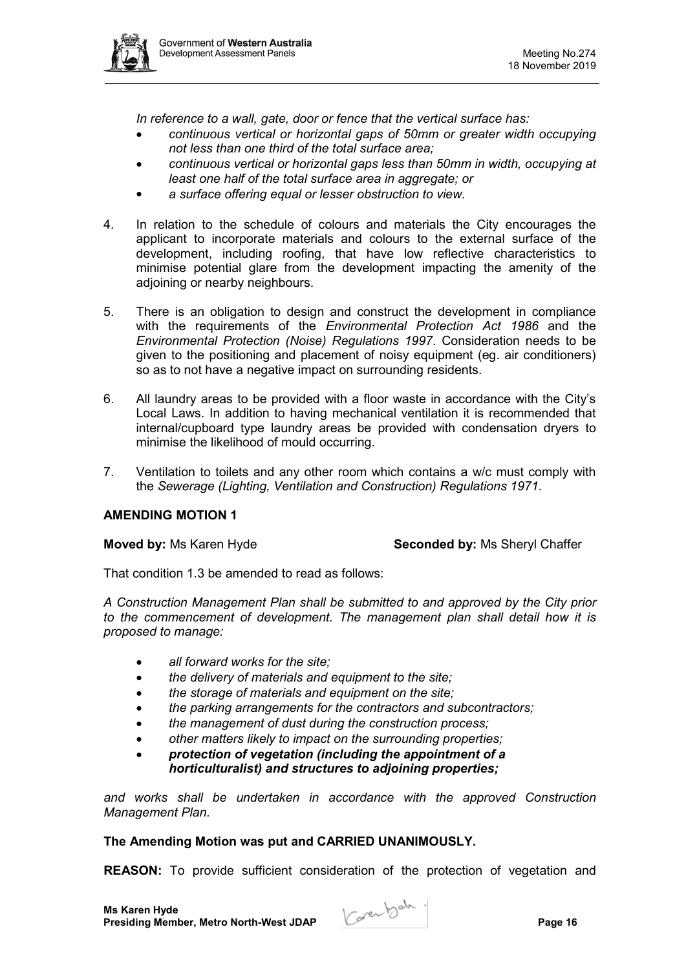

*In reference to a wall, gate, door or fence that the vertical surface has:*

- *continuous vertical or horizontal gaps of 50mm or greater width occupying not less than one third of the total surface area;*
- *continuous vertical or horizontal gaps less than 50mm in width, occupying at least one half of the total surface area in aggregate; or*
- *a surface offering equal or lesser obstruction to view.*
- 4. In relation to the schedule of colours and materials the City encourages the applicant to incorporate materials and colours to the external surface of the development, including roofing, that have low reflective characteristics to minimise potential glare from the development impacting the amenity of the adjoining or nearby neighbours.
- 5. There is an obligation to design and construct the development in compliance with the requirements of the *Environmental Protection Act 1986* and the *Environmental Protection (Noise) Regulations 1997*. Consideration needs to be given to the positioning and placement of noisy equipment (eg. air conditioners) so as to not have a negative impact on surrounding residents.
- 6. All laundry areas to be provided with a floor waste in accordance with the City's Local Laws. In addition to having mechanical ventilation it is recommended that internal/cupboard type laundry areas be provided with condensation dryers to minimise the likelihood of mould occurring.
- 7. Ventilation to toilets and any other room which contains a w/c must comply with the *Sewerage (Lighting, Ventilation and Construction) Regulations 1971*.

# **AMENDING MOTION 1**

**Moved by:** Ms Karen Hyde **Seconded by:** Ms Sheryl Chaffer

That condition 1.3 be amended to read as follows:

*A Construction Management Plan shall be submitted to and approved by the City prior to the commencement of development. The management plan shall detail how it is proposed to manage:*

- *all forward works for the site;*
- *the delivery of materials and equipment to the site;*
- *the storage of materials and equipment on the site;*
- *the parking arrangements for the contractors and subcontractors;*
- *the management of dust during the construction process;*
- *other matters likely to impact on the surrounding properties;*
- *protection of vegetation (including the appointment of a horticulturalist) and structures to adjoining properties;*

*and works shall be undertaken in accordance with the approved Construction Management Plan.*

# **The Amending Motion was put and CARRIED UNANIMOUSLY.**

**REASON:** To provide sufficient consideration of the protection of vegetation and

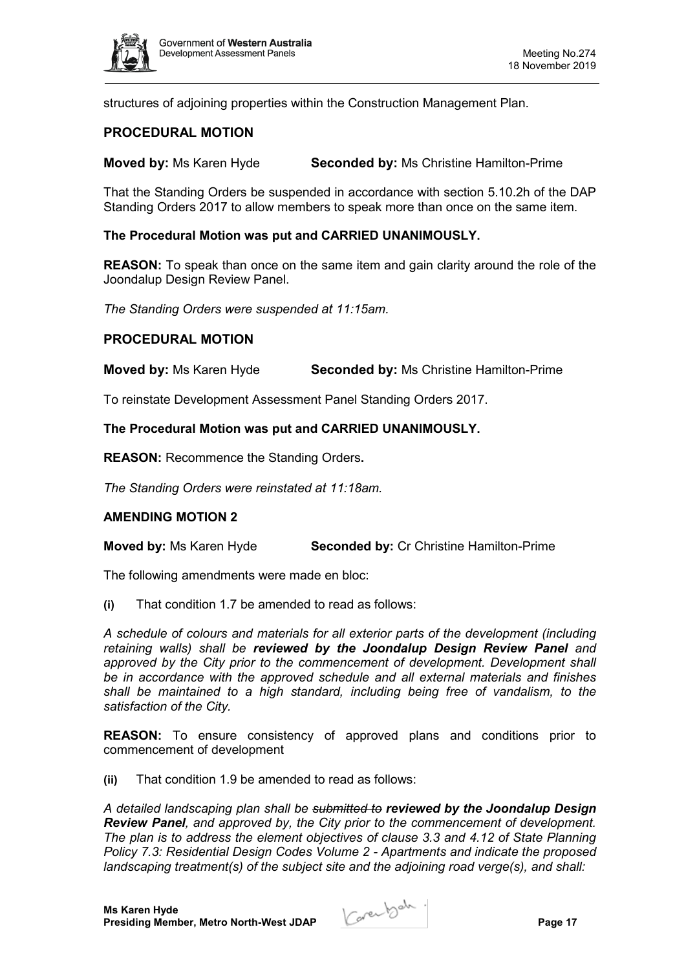

structures of adjoining properties within the Construction Management Plan.

# **PROCEDURAL MOTION**

**Moved by:** Ms Karen Hyde **Seconded by:** Ms Christine Hamilton-Prime

That the Standing Orders be suspended in accordance with section 5.10.2h of the DAP Standing Orders 2017 to allow members to speak more than once on the same item.

#### **The Procedural Motion was put and CARRIED UNANIMOUSLY.**

**REASON:** To speak than once on the same item and gain clarity around the role of the Joondalup Design Review Panel.

*The Standing Orders were suspended at 11:15am.*

#### **PROCEDURAL MOTION**

**Moved by:** Ms Karen Hyde **Seconded by:** Ms Christine Hamilton-Prime

To reinstate Development Assessment Panel Standing Orders 2017.

#### **The Procedural Motion was put and CARRIED UNANIMOUSLY.**

**REASON:** Recommence the Standing Orders**.**

*The Standing Orders were reinstated at 11:18am.*

# **AMENDING MOTION 2**

**Moved by:** Ms Karen Hyde **Seconded by:** Cr Christine Hamilton-Prime

The following amendments were made en bloc:

**(i)** That condition 1.7 be amended to read as follows:

*A schedule of colours and materials for all exterior parts of the development (including retaining walls) shall be reviewed by the Joondalup Design Review Panel and*  approved by the City prior to the commencement of development. Development shall *be in accordance with the approved schedule and all external materials and finishes shall be maintained to a high standard, including being free of vandalism, to the satisfaction of the City.*

**REASON:** To ensure consistency of approved plans and conditions prior to commencement of development

**(ii)** That condition 1.9 be amended to read as follows:

*A detailed landscaping plan shall be submitted to reviewed by the Joondalup Design Review Panel, and approved by, the City prior to the commencement of development. The plan is to address the element objectives of clause 3.3 and 4.12 of State Planning Policy 7.3: Residential Design Codes Volume 2 - Apartments and indicate the proposed landscaping treatment(s) of the subject site and the adjoining road verge(s), and shall:*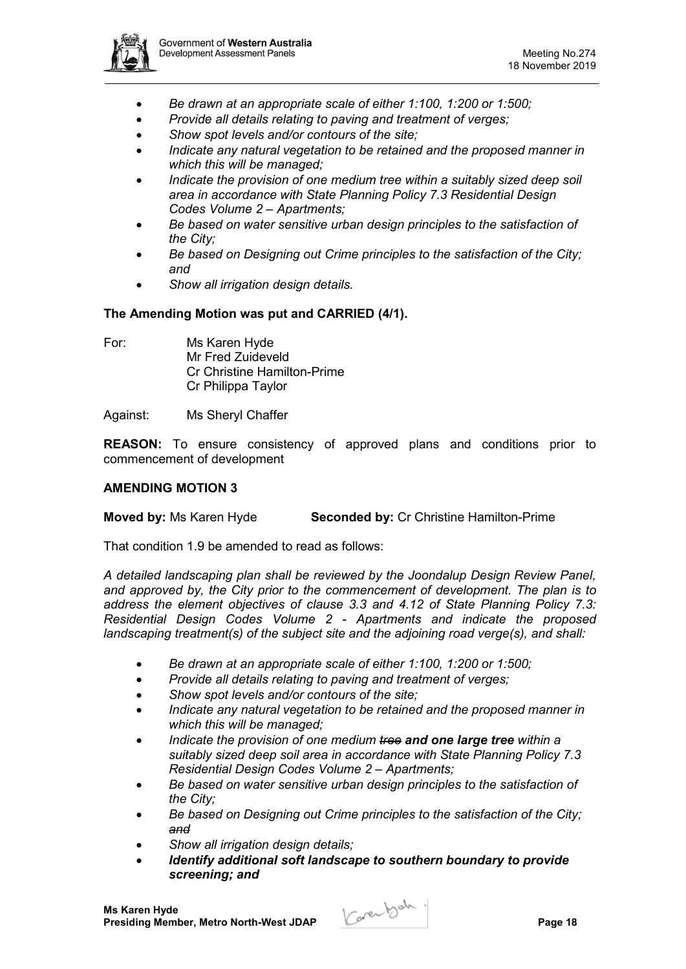

- *Be drawn at an appropriate scale of either 1:100, 1:200 or 1:500;*
- *Provide all details relating to paving and treatment of verges;*
- *Show spot levels and/or contours of the site;*
- *Indicate any natural vegetation to be retained and the proposed manner in which this will be managed;*
- *Indicate the provision of one medium tree within a suitably sized deep soil area in accordance with State Planning Policy 7.3 Residential Design Codes Volume 2 – Apartments;*
- *Be based on water sensitive urban design principles to the satisfaction of the City;*
- *Be based on Designing out Crime principles to the satisfaction of the City; and*
- *Show all irrigation design details.*

# **The Amending Motion was put and CARRIED (4/1).**

For: Ms Karen Hyde Mr Fred Zuideveld Cr Christine Hamilton-Prime Cr Philippa Taylor

Against: Ms Sheryl Chaffer

**REASON:** To ensure consistency of approved plans and conditions prior to commencement of development

#### **AMENDING MOTION 3**

# **Moved by:** Ms Karen Hyde **Seconded by:** Cr Christine Hamilton-Prime

That condition 1.9 be amended to read as follows:

*A detailed landscaping plan shall be reviewed by the Joondalup Design Review Panel, and approved by, the City prior to the commencement of development. The plan is to address the element objectives of clause 3.3 and 4.12 of State Planning Policy 7.3: Residential Design Codes Volume 2 - Apartments and indicate the proposed landscaping treatment(s) of the subject site and the adjoining road verge(s), and shall:*

- *Be drawn at an appropriate scale of either 1:100, 1:200 or 1:500;*
- *Provide all details relating to paving and treatment of verges;*
- *Show spot levels and/or contours of the site;*
- *Indicate any natural vegetation to be retained and the proposed manner in which this will be managed;*
- *Indicate the provision of one medium tree and one large tree within a suitably sized deep soil area in accordance with State Planning Policy 7.3 Residential Design Codes Volume 2 – Apartments;*
- *Be based on water sensitive urban design principles to the satisfaction of the City;*
- *Be based on Designing out Crime principles to the satisfaction of the City; and*
- *Show all irrigation design details;*
- *Identify additional soft landscape to southern boundary to provide screening; and*

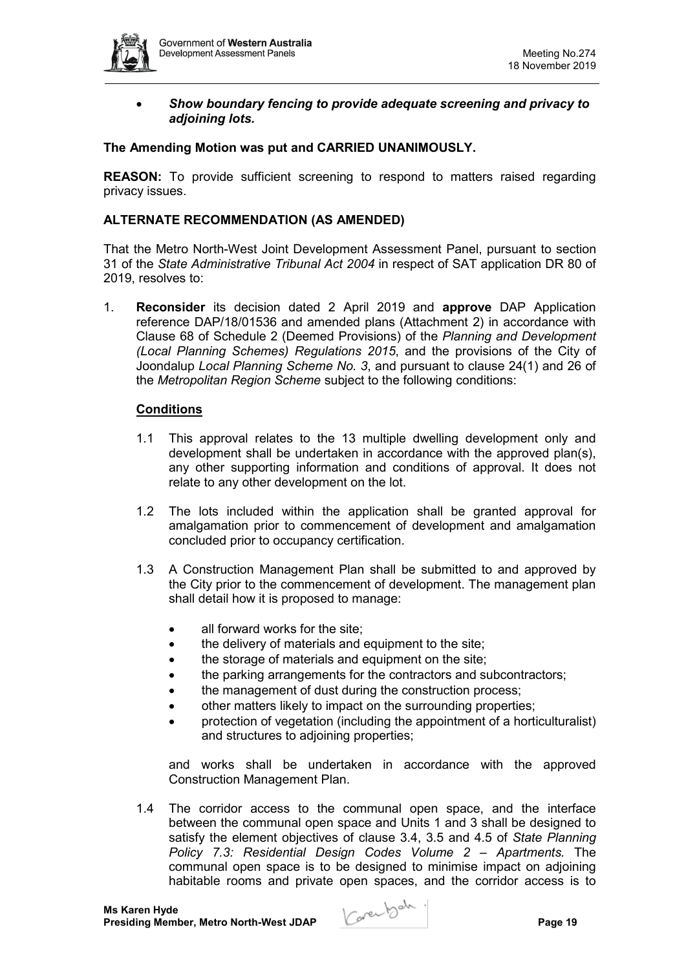

• *Show boundary fencing to provide adequate screening and privacy to adjoining lots.*

#### **The Amending Motion was put and CARRIED UNANIMOUSLY.**

**REASON:** To provide sufficient screening to respond to matters raised regarding privacy issues.

#### **ALTERNATE RECOMMENDATION (AS AMENDED)**

That the Metro North-West Joint Development Assessment Panel, pursuant to section 31 of the *State Administrative Tribunal Act 2004* in respect of SAT application DR 80 of 2019, resolves to:

1. **Reconsider** its decision dated 2 April 2019 and **approve** DAP Application reference DAP/18/01536 and amended plans (Attachment 2) in accordance with Clause 68 of Schedule 2 (Deemed Provisions) of the *Planning and Development (Local Planning Schemes) Regulations 2015*, and the provisions of the City of Joondalup *Local Planning Scheme No. 3*, and pursuant to clause 24(1) and 26 of the *Metropolitan Region Scheme* subject to the following conditions:

#### **Conditions**

- 1.1 This approval relates to the 13 multiple dwelling development only and development shall be undertaken in accordance with the approved plan(s), any other supporting information and conditions of approval. It does not relate to any other development on the lot.
- 1.2 The lots included within the application shall be granted approval for amalgamation prior to commencement of development and amalgamation concluded prior to occupancy certification.
- 1.3 A Construction Management Plan shall be submitted to and approved by the City prior to the commencement of development. The management plan shall detail how it is proposed to manage:
	- all forward works for the site;
	- the delivery of materials and equipment to the site;
	- the storage of materials and equipment on the site;
	- the parking arrangements for the contractors and subcontractors;
	- the management of dust during the construction process;
	- other matters likely to impact on the surrounding properties;
	- protection of vegetation (including the appointment of a horticulturalist) and structures to adjoining properties;

and works shall be undertaken in accordance with the approved Construction Management Plan.

1.4 The corridor access to the communal open space, and the interface between the communal open space and Units 1 and 3 shall be designed to satisfy the element objectives of clause 3.4, 3.5 and 4.5 of *State Planning Policy 7.3: Residential Design Codes Volume 2 – Apartments.* The communal open space is to be designed to minimise impact on adjoining habitable rooms and private open spaces, and the corridor access is to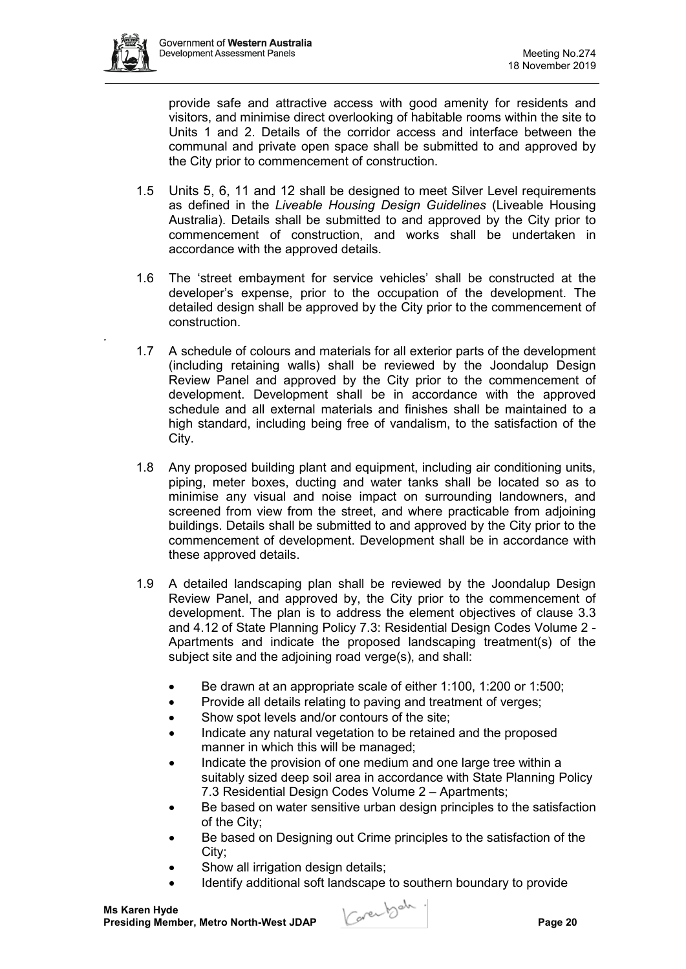*.*



provide safe and attractive access with good amenity for residents and visitors, and minimise direct overlooking of habitable rooms within the site to Units 1 and 2. Details of the corridor access and interface between the communal and private open space shall be submitted to and approved by the City prior to commencement of construction.

- 1.5 Units 5, 6, 11 and 12 shall be designed to meet Silver Level requirements as defined in the *Liveable Housing Design Guidelines* (Liveable Housing Australia). Details shall be submitted to and approved by the City prior to commencement of construction, and works shall be undertaken in accordance with the approved details.
- 1.6 The 'street embayment for service vehicles' shall be constructed at the developer's expense, prior to the occupation of the development. The detailed design shall be approved by the City prior to the commencement of construction.
- 1.7 A schedule of colours and materials for all exterior parts of the development (including retaining walls) shall be reviewed by the Joondalup Design Review Panel and approved by the City prior to the commencement of development. Development shall be in accordance with the approved schedule and all external materials and finishes shall be maintained to a high standard, including being free of vandalism, to the satisfaction of the City.
- 1.8 Any proposed building plant and equipment, including air conditioning units, piping, meter boxes, ducting and water tanks shall be located so as to minimise any visual and noise impact on surrounding landowners, and screened from view from the street, and where practicable from adjoining buildings. Details shall be submitted to and approved by the City prior to the commencement of development. Development shall be in accordance with these approved details.
- 1.9 A detailed landscaping plan shall be reviewed by the Joondalup Design Review Panel, and approved by, the City prior to the commencement of development. The plan is to address the element objectives of clause 3.3 and 4.12 of State Planning Policy 7.3: Residential Design Codes Volume 2 - Apartments and indicate the proposed landscaping treatment(s) of the subject site and the adjoining road verge(s), and shall:
	- Be drawn at an appropriate scale of either 1:100, 1:200 or 1:500;
	- Provide all details relating to paving and treatment of verges;
	- Show spot levels and/or contours of the site;
	- Indicate any natural vegetation to be retained and the proposed manner in which this will be managed;
	- Indicate the provision of one medium and one large tree within a suitably sized deep soil area in accordance with State Planning Policy 7.3 Residential Design Codes Volume 2 – Apartments;
	- Be based on water sensitive urban design principles to the satisfaction of the City;
	- Be based on Designing out Crime principles to the satisfaction of the City;
	- Show all irrigation design details;
	- Identify additional soft landscape to southern boundary to provide

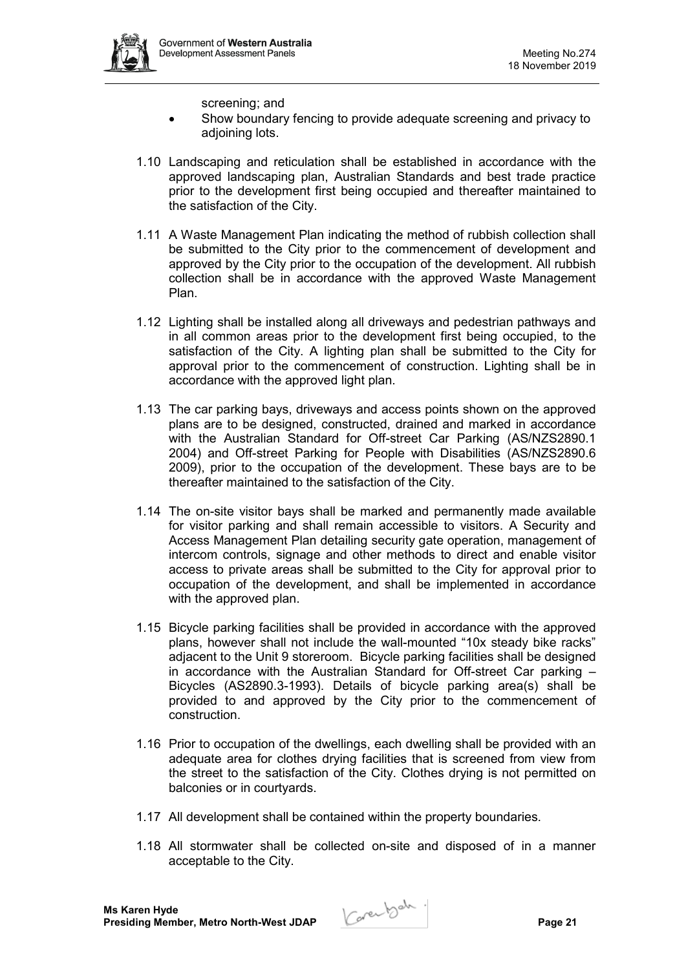screening; and

- Show boundary fencing to provide adequate screening and privacy to adjoining lots.
- 1.10 Landscaping and reticulation shall be established in accordance with the approved landscaping plan, Australian Standards and best trade practice prior to the development first being occupied and thereafter maintained to the satisfaction of the City.
- 1.11 A Waste Management Plan indicating the method of rubbish collection shall be submitted to the City prior to the commencement of development and approved by the City prior to the occupation of the development. All rubbish collection shall be in accordance with the approved Waste Management Plan.
- 1.12 Lighting shall be installed along all driveways and pedestrian pathways and in all common areas prior to the development first being occupied, to the satisfaction of the City. A lighting plan shall be submitted to the City for approval prior to the commencement of construction. Lighting shall be in accordance with the approved light plan.
- 1.13 The car parking bays, driveways and access points shown on the approved plans are to be designed, constructed, drained and marked in accordance with the Australian Standard for Off-street Car Parking (AS/NZS2890.1 2004) and Off-street Parking for People with Disabilities (AS/NZS2890.6 2009), prior to the occupation of the development. These bays are to be thereafter maintained to the satisfaction of the City.
- 1.14 The on-site visitor bays shall be marked and permanently made available for visitor parking and shall remain accessible to visitors. A Security and Access Management Plan detailing security gate operation, management of intercom controls, signage and other methods to direct and enable visitor access to private areas shall be submitted to the City for approval prior to occupation of the development, and shall be implemented in accordance with the approved plan.
- 1.15 Bicycle parking facilities shall be provided in accordance with the approved plans, however shall not include the wall-mounted "10x steady bike racks" adjacent to the Unit 9 storeroom. Bicycle parking facilities shall be designed in accordance with the Australian Standard for Off-street Car parking – Bicycles (AS2890.3-1993). Details of bicycle parking area(s) shall be provided to and approved by the City prior to the commencement of construction.
- 1.16 Prior to occupation of the dwellings, each dwelling shall be provided with an adequate area for clothes drying facilities that is screened from view from the street to the satisfaction of the City. Clothes drying is not permitted on balconies or in courtyards.
- 1.17 All development shall be contained within the property boundaries.
- 1.18 All stormwater shall be collected on-site and disposed of in a manner acceptable to the City.

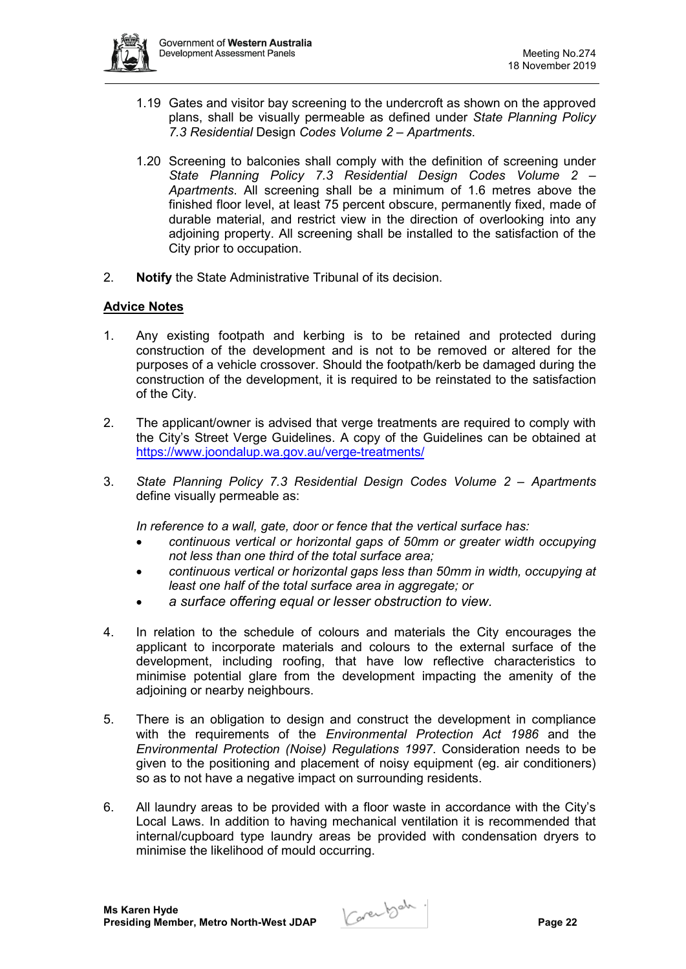

- 1.19 Gates and visitor bay screening to the undercroft as shown on the approved plans, shall be visually permeable as defined under *State Planning Policy 7.3 Residential* Design *Codes Volume 2 – Apartments*.
- 1.20 Screening to balconies shall comply with the definition of screening under *State Planning Policy 7.3 Residential Design Codes Volume 2 – Apartments*. All screening shall be a minimum of 1.6 metres above the finished floor level, at least 75 percent obscure, permanently fixed, made of durable material, and restrict view in the direction of overlooking into any adjoining property. All screening shall be installed to the satisfaction of the City prior to occupation.
- 2. **Notify** the State Administrative Tribunal of its decision.

# **Advice Notes**

- 1. Any existing footpath and kerbing is to be retained and protected during construction of the development and is not to be removed or altered for the purposes of a vehicle crossover. Should the footpath/kerb be damaged during the construction of the development, it is required to be reinstated to the satisfaction of the City.
- 2. The applicant/owner is advised that verge treatments are required to comply with the City's Street Verge Guidelines. A copy of the Guidelines can be obtained at <https://www.joondalup.wa.gov.au/verge-treatments/>
- 3. *State Planning Policy 7.3 Residential Design Codes Volume 2 – Apartments* define visually permeable as:

*In reference to a wall, gate, door or fence that the vertical surface has:*

- *continuous vertical or horizontal gaps of 50mm or greater width occupying not less than one third of the total surface area;*
- *continuous vertical or horizontal gaps less than 50mm in width, occupying at least one half of the total surface area in aggregate; or*
- *a surface offering equal or lesser obstruction to view.*
- 4. In relation to the schedule of colours and materials the City encourages the applicant to incorporate materials and colours to the external surface of the development, including roofing, that have low reflective characteristics to minimise potential glare from the development impacting the amenity of the adjoining or nearby neighbours.
- 5. There is an obligation to design and construct the development in compliance with the requirements of the *Environmental Protection Act 1986* and the *Environmental Protection (Noise) Regulations 1997*. Consideration needs to be given to the positioning and placement of noisy equipment (eg. air conditioners) so as to not have a negative impact on surrounding residents.
- 6. All laundry areas to be provided with a floor waste in accordance with the City's Local Laws. In addition to having mechanical ventilation it is recommended that internal/cupboard type laundry areas be provided with condensation dryers to minimise the likelihood of mould occurring.